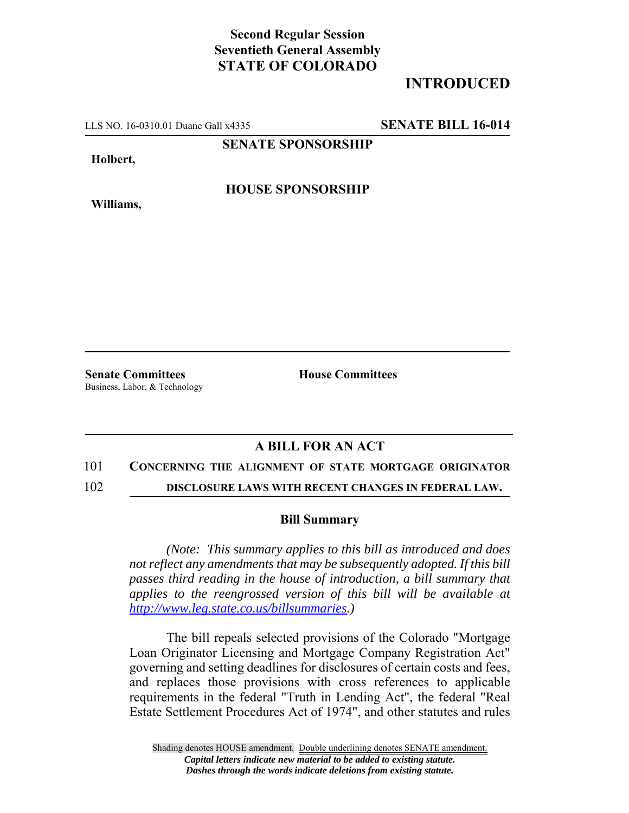## **Second Regular Session Seventieth General Assembly STATE OF COLORADO**

# **INTRODUCED**

LLS NO. 16-0310.01 Duane Gall x4335 **SENATE BILL 16-014**

**SENATE SPONSORSHIP**

**Holbert,**

**Williams,**

**HOUSE SPONSORSHIP**

**Senate Committees House Committees** Business, Labor, & Technology

## **A BILL FOR AN ACT**

#### 101 **CONCERNING THE ALIGNMENT OF STATE MORTGAGE ORIGINATOR**

102 **DISCLOSURE LAWS WITH RECENT CHANGES IN FEDERAL LAW.**

### **Bill Summary**

*(Note: This summary applies to this bill as introduced and does not reflect any amendments that may be subsequently adopted. If this bill passes third reading in the house of introduction, a bill summary that applies to the reengrossed version of this bill will be available at http://www.leg.state.co.us/billsummaries.)*

The bill repeals selected provisions of the Colorado "Mortgage Loan Originator Licensing and Mortgage Company Registration Act" governing and setting deadlines for disclosures of certain costs and fees, and replaces those provisions with cross references to applicable requirements in the federal "Truth in Lending Act", the federal "Real Estate Settlement Procedures Act of 1974", and other statutes and rules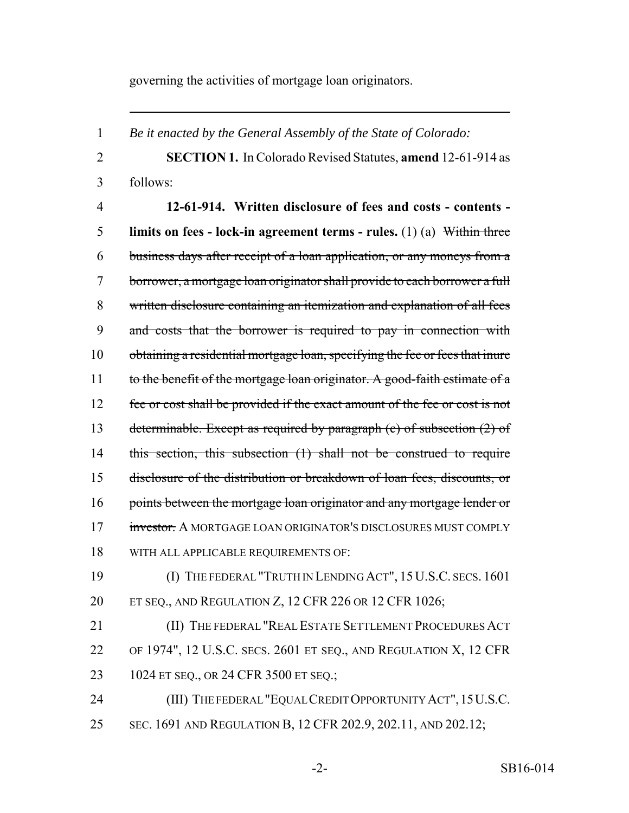governing the activities of mortgage loan originators.

 *Be it enacted by the General Assembly of the State of Colorado:* **SECTION 1.** In Colorado Revised Statutes, **amend** 12-61-914 as follows: **12-61-914. Written disclosure of fees and costs - contents - limits on fees - lock-in agreement terms - rules.** (1) (a) Within three business days after receipt of a loan application, or any moneys from a borrower, a mortgage loan originator shall provide to each borrower a full written disclosure containing an itemization and explanation of all fees and costs that the borrower is required to pay in connection with obtaining a residential mortgage loan, specifying the fee or fees that inure to the benefit of the mortgage loan originator. A good-faith estimate of a fee or cost shall be provided if the exact amount of the fee or cost is not determinable. Except as required by paragraph (c) of subsection (2) of 14 this section, this subsection (1) shall not be construed to require disclosure of the distribution or breakdown of loan fees, discounts, or 16 points between the mortgage loan originator and any mortgage lender or investor. A MORTGAGE LOAN ORIGINATOR'S DISCLOSURES MUST COMPLY WITH ALL APPLICABLE REQUIREMENTS OF: (I) THE FEDERAL "TRUTH IN LENDING ACT", 15 U.S.C. SECS. 1601 ET SEQ., AND REGULATION Z, 12 CFR 226 OR 12 CFR 1026; **(II) THE FEDERAL "REAL ESTATE SETTLEMENT PROCEDURES ACT**  OF 1974", 12 U.S.C. SECS. 2601 ET SEQ., AND REGULATION X, 12 CFR 1024 ET SEQ., OR 24 CFR 3500 ET SEQ.; (III) THE FEDERAL "EQUAL CREDIT OPPORTUNITY ACT",15U.S.C. SEC. 1691 AND REGULATION B, 12 CFR 202.9, 202.11, AND 202.12;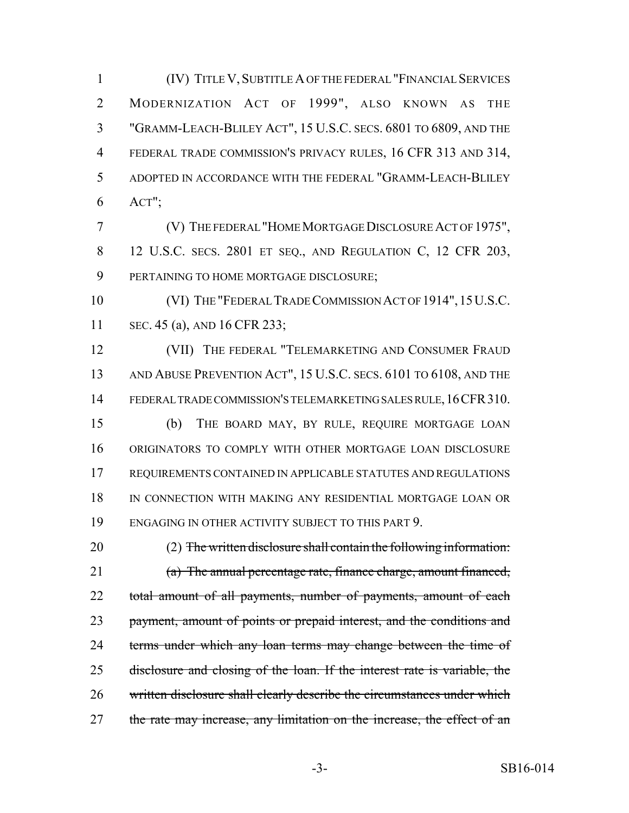(IV) TITLE V, SUBTITLE A OF THE FEDERAL "FINANCIAL SERVICES MODERNIZATION ACT OF 1999", ALSO KNOWN AS THE "GRAMM-LEACH-BLILEY ACT", 15 U.S.C. SECS. 6801 TO 6809, AND THE FEDERAL TRADE COMMISSION'S PRIVACY RULES, 16 CFR 313 AND 314, ADOPTED IN ACCORDANCE WITH THE FEDERAL "GRAMM-LEACH-BLILEY ACT";

 (V) THE FEDERAL "HOME MORTGAGE DISCLOSURE ACT OF 1975", 12 U.S.C. SECS. 2801 ET SEQ., AND REGULATION C, 12 CFR 203, PERTAINING TO HOME MORTGAGE DISCLOSURE;

 (VI) THE "FEDERAL TRADE COMMISSION ACT OF 1914",15U.S.C. SEC. 45 (a), AND 16 CFR 233;

12 (VII) THE FEDERAL "TELEMARKETING AND CONSUMER FRAUD 13 AND ABUSE PREVENTION ACT", 15 U.S.C. SECS. 6101 TO 6108, AND THE FEDERAL TRADE COMMISSION'S TELEMARKETING SALES RULE,16CFR310. (b) THE BOARD MAY, BY RULE, REQUIRE MORTGAGE LOAN ORIGINATORS TO COMPLY WITH OTHER MORTGAGE LOAN DISCLOSURE REQUIREMENTS CONTAINED IN APPLICABLE STATUTES AND REGULATIONS IN CONNECTION WITH MAKING ANY RESIDENTIAL MORTGAGE LOAN OR ENGAGING IN OTHER ACTIVITY SUBJECT TO THIS PART 9.

 (2) The written disclosure shall contain the following information: (a) The annual percentage rate, finance charge, amount financed, 22 total amount of all payments, number of payments, amount of each 23 payment, amount of points or prepaid interest, and the conditions and 24 terms under which any loan terms may change between the time of disclosure and closing of the loan. If the interest rate is variable, the 26 written disclosure shall clearly describe the circumstances under which 27 the rate may increase, any limitation on the increase, the effect of an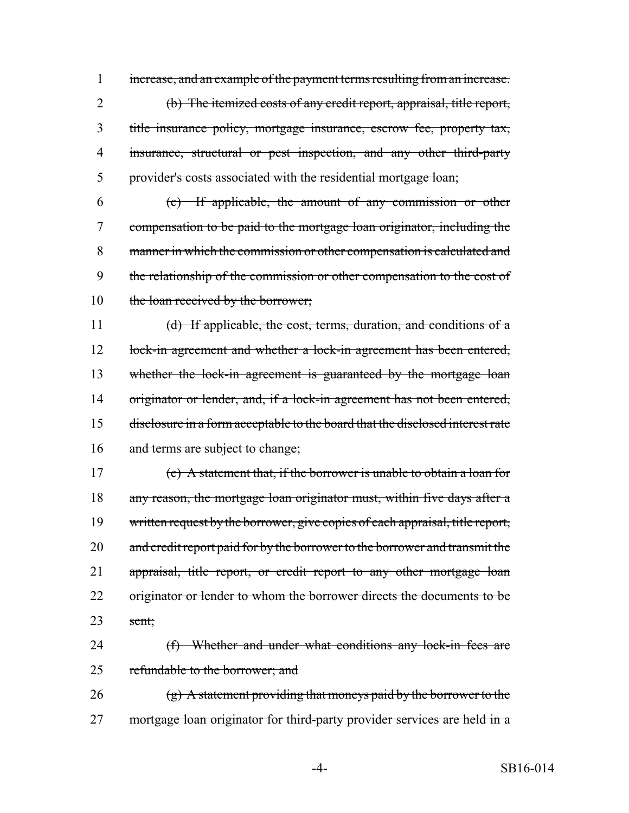1 increase, and an example of the payment terms resulting from an increase.

 (b) The itemized costs of any credit report, appraisal, title report, title insurance policy, mortgage insurance, escrow fee, property tax, 4 insurance, structural or pest inspection, and any other third-party provider's costs associated with the residential mortgage loan;

6 (c) If applicable, the amount of any commission or other 7 compensation to be paid to the mortgage loan originator, including the 8 manner in which the commission or other compensation is calculated and 9 the relationship of the commission or other compensation to the cost of 10 the loan received by the borrower;

11 (d) If applicable, the cost, terms, duration, and conditions of a 12 lock-in agreement and whether a lock-in agreement has been entered, 13 whether the lock-in agreement is guaranteed by the mortgage loan 14 originator or lender, and, if a lock-in agreement has not been entered, 15 disclosure in a form acceptable to the board that the disclosed interest rate 16 and terms are subject to change;

17 (e) A statement that, if the borrower is unable to obtain a loan for 18 any reason, the mortgage loan originator must, within five days after a 19 written request by the borrower, give copies of each appraisal, title report, 20 and credit report paid for by the borrower to the borrower and transmit the 21 appraisal, title report, or credit report to any other mortgage loan 22 originator or lender to whom the borrower directs the documents to be  $23$  sent;

24 (f) Whether and under what conditions any lock-in fees are 25 refundable to the borrower; and

26 (g) A statement providing that moneys paid by the borrower to the 27 mortgage loan originator for third-party provider services are held in a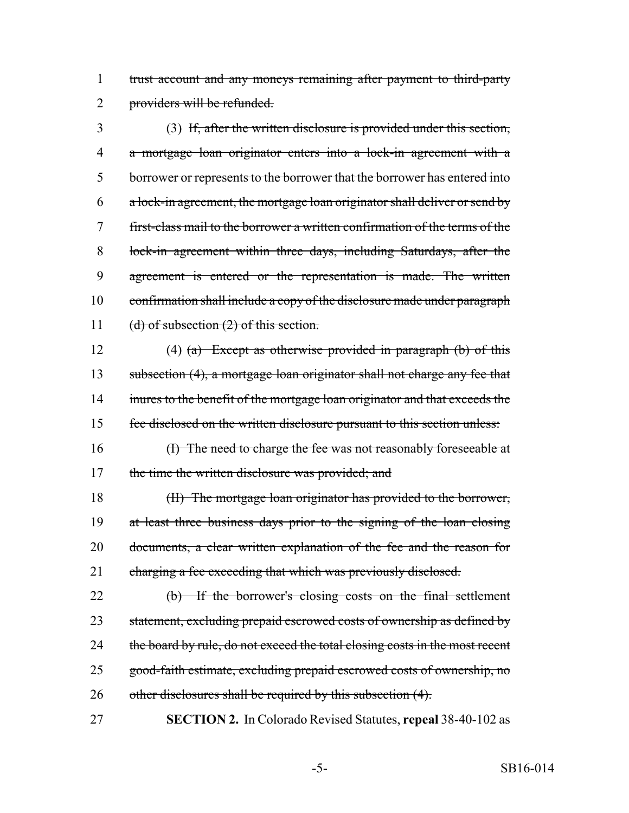trust account and any moneys remaining after payment to third-party providers will be refunded.

 (3) If, after the written disclosure is provided under this section, a mortgage loan originator enters into a lock-in agreement with a borrower or represents to the borrower that the borrower has entered into a lock-in agreement, the mortgage loan originator shall deliver or send by first-class mail to the borrower a written confirmation of the terms of the lock-in agreement within three days, including Saturdays, after the agreement is entered or the representation is made. The written 10 confirmation shall include a copy of the disclosure made under paragraph 11 (d) of subsection (2) of this section.

12 (4) (a) Except as otherwise provided in paragraph (b) of this 13 subsection (4), a mortgage loan originator shall not charge any fee that 14 inures to the benefit of the mortgage loan originator and that exceeds the fee disclosed on the written disclosure pursuant to this section unless:

 (I) The need to charge the fee was not reasonably foreseeable at 17 the time the written disclosure was provided; and

 (II) The mortgage loan originator has provided to the borrower, at least three business days prior to the signing of the loan closing documents, a clear written explanation of the fee and the reason for 21 charging a fee exceeding that which was previously disclosed.

 (b) If the borrower's closing costs on the final settlement 23 statement, excluding prepaid escrowed costs of ownership as defined by 24 the board by rule, do not exceed the total closing costs in the most recent good-faith estimate, excluding prepaid escrowed costs of ownership, no 26 other disclosures shall be required by this subsection (4).

**SECTION 2.** In Colorado Revised Statutes, **repeal** 38-40-102 as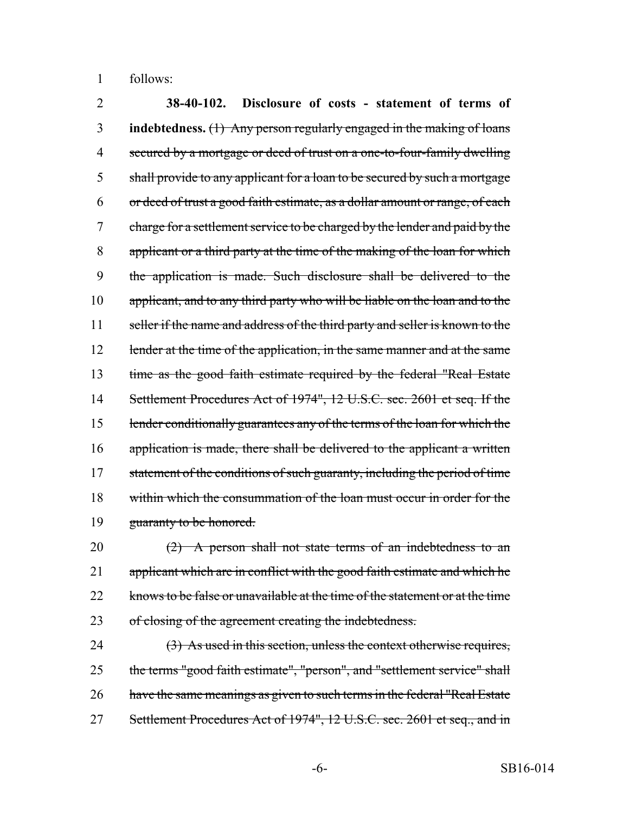1 follows:

2 **38-40-102. Disclosure of costs - statement of terms of** 3 **indebtedness.** (1) Any person regularly engaged in the making of loans 4 secured by a mortgage or deed of trust on a one-to-four-family dwelling 5 shall provide to any applicant for a loan to be secured by such a mortgage 6 or deed of trust a good faith estimate, as a dollar amount or range, of each 7 charge for a settlement service to be charged by the lender and paid by the 8 applicant or a third party at the time of the making of the loan for which 9 the application is made. Such disclosure shall be delivered to the 10 applicant, and to any third party who will be liable on the loan and to the 11 seller if the name and address of the third party and seller is known to the 12 lender at the time of the application, in the same manner and at the same 13 time as the good faith estimate required by the federal "Real Estate 14 Settlement Procedures Act of 1974", 12 U.S.C. sec. 2601 et seq. If the 15 lender conditionally guarantees any of the terms of the loan for which the 16 application is made, there shall be delivered to the applicant a written 17 statement of the conditions of such guaranty, including the period of time 18 within which the consummation of the loan must occur in order for the 19 guaranty to be honored.

20  $(2)$  A person shall not state terms of an indebtedness to an 21 applicant which are in conflict with the good faith estimate and which he 22 knows to be false or unavailable at the time of the statement or at the time 23 of closing of the agreement creating the indebtedness.

24 (3) As used in this section, unless the context otherwise requires, 25 the terms "good faith estimate", "person", and "settlement service" shall 26 have the same meanings as given to such terms in the federal "Real Estate" 27 Settlement Procedures Act of 1974", 12 U.S.C. sec. 2601 et seq., and in